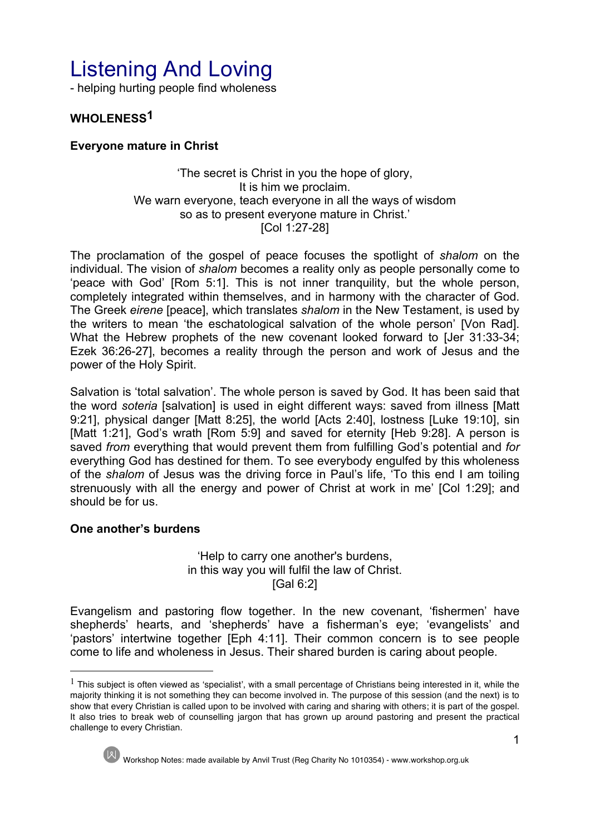# Listening And Loving

- helping hurting people find wholeness

# **WHOLENESS1**

## **Everyone mature in Christ**

#### 'The secret is Christ in you the hope of glory, It is him we proclaim. We warn everyone, teach everyone in all the ways of wisdom so as to present everyone mature in Christ.' [Col 1:27-28]

The proclamation of the gospel of peace focuses the spotlight of *shalom* on the individual. The vision of *shalom* becomes a reality only as people personally come to 'peace with God' [Rom 5:1]. This is not inner tranquility, but the whole person, completely integrated within themselves, and in harmony with the character of God. The Greek *eirene* [peace], which translates *shalom* in the New Testament, is used by the writers to mean 'the eschatological salvation of the whole person' [Von Rad]. What the Hebrew prophets of the new covenant looked forward to [Jer 31:33-34; Ezek 36:26-27], becomes a reality through the person and work of Jesus and the power of the Holy Spirit.

Salvation is 'total salvation'. The whole person is saved by God. It has been said that the word *soteria* [salvation] is used in eight different ways: saved from illness [Matt 9:21], physical danger [Matt 8:25], the world [Acts 2:40], lostness [Luke 19:10], sin [Matt 1:21], God's wrath [Rom 5:9] and saved for eternity [Heb 9:28]. A person is saved *from* everything that would prevent them from fulfilling God's potential and *for*  everything God has destined for them. To see everybody engulfed by this wholeness of the *shalom* of Jesus was the driving force in Paul's life, 'To this end I am toiling strenuously with all the energy and power of Christ at work in me' [Col 1:29]; and should be for us.

## **One another's burdens**

'Help to carry one another's burdens, in this way you will fulfil the law of Christ. [Gal 6:2]

Evangelism and pastoring flow together. In the new covenant, 'fishermen' have shepherds' hearts, and 'shepherds' have a fisherman's eye; 'evangelists' and 'pastors' intertwine together [Eph 4:11]. Their common concern is to see people come to life and wholeness in Jesus. Their shared burden is caring about people.

 $<sup>1</sup>$  This subject is often viewed as 'specialist', with a small percentage of Christians being interested in it, while the</sup> majority thinking it is not something they can become involved in. The purpose of this session (and the next) is to show that every Christian is called upon to be involved with caring and sharing with others; it is part of the gospel. It also tries to break web of counselling jargon that has grown up around pastoring and present the practical challenge to every Christian.



l

Workshop Notes: made available by Anvil Trust (Reg Charity No 1010354) - www.workshop.org.uk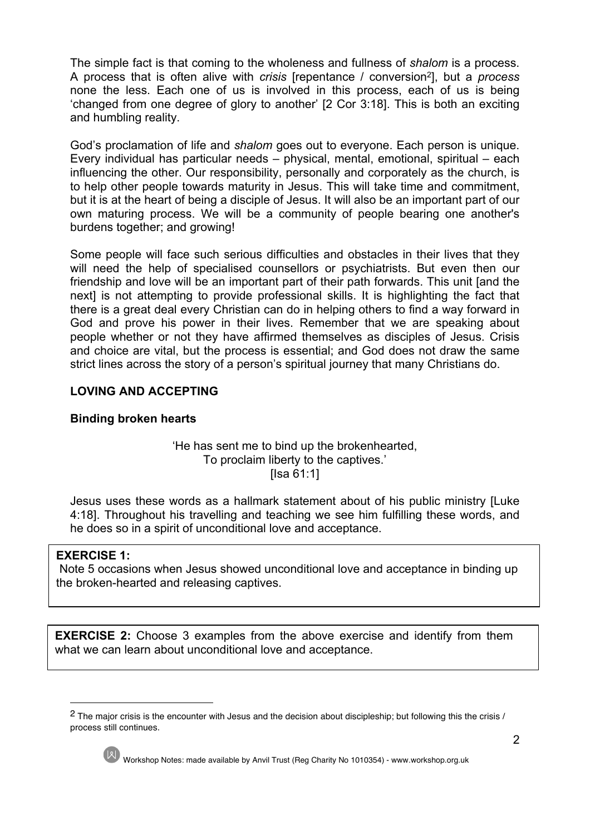The simple fact is that coming to the wholeness and fullness of *shalom* is a process. A process that is often alive with *crisis* [repentance / conversion2], but a *process* none the less. Each one of us is involved in this process, each of us is being 'changed from one degree of glory to another' [2 Cor 3:18]. This is both an exciting and humbling reality.

God's proclamation of life and *shalom* goes out to everyone. Each person is unique. Every individual has particular needs – physical, mental, emotional, spiritual – each influencing the other. Our responsibility, personally and corporately as the church, is to help other people towards maturity in Jesus. This will take time and commitment, but it is at the heart of being a disciple of Jesus. It will also be an important part of our own maturing process. We will be a community of people bearing one another's burdens together; and growing!

Some people will face such serious difficulties and obstacles in their lives that they will need the help of specialised counsellors or psychiatrists. But even then our friendship and love will be an important part of their path forwards. This unit [and the next] is not attempting to provide professional skills. It is highlighting the fact that there is a great deal every Christian can do in helping others to find a way forward in God and prove his power in their lives. Remember that we are speaking about people whether or not they have affirmed themselves as disciples of Jesus. Crisis and choice are vital, but the process is essential; and God does not draw the same strict lines across the story of a person's spiritual journey that many Christians do.

## **LOVING AND ACCEPTING**

## **Binding broken hearts**

## 'He has sent me to bind up the brokenhearted, To proclaim liberty to the captives.' [Isa 61:1]

Jesus uses these words as a hallmark statement about of his public ministry [Luke 4:18]. Throughout his travelling and teaching we see him fulfilling these words, and he does so in a spirit of unconditional love and acceptance.

## **EXERCISE 1:**

Note 5 occasions when Jesus showed unconditional love and acceptance in binding up the broken-hearted and releasing captives.

**EXERCISE 2:** Choose 3 examples from the above exercise and identify from them what we can learn about unconditional love and acceptance.

<sup>&</sup>lt;sup>2</sup> The major crisis is the encounter with Jesus and the decision about discipleship; but following this the crisis / process still continues.



 $\overline{a}$ 

Workshop Notes: made available by Anvil Trust (Reg Charity No 1010354) - www.workshop.org.uk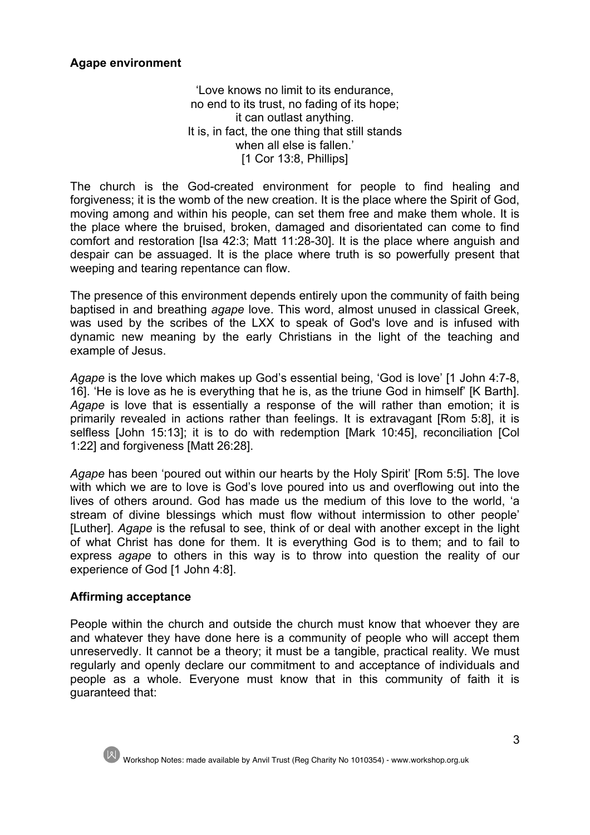## **Agape environment**

'Love knows no limit to its endurance, no end to its trust, no fading of its hope; it can outlast anything. It is, in fact, the one thing that still stands when all else is fallen.' [1 Cor 13:8, Phillips]

The church is the God-created environment for people to find healing and forgiveness; it is the womb of the new creation. It is the place where the Spirit of God, moving among and within his people, can set them free and make them whole. It is the place where the bruised, broken, damaged and disorientated can come to find comfort and restoration [Isa 42:3; Matt 11:28-30]. It is the place where anguish and despair can be assuaged. It is the place where truth is so powerfully present that weeping and tearing repentance can flow.

The presence of this environment depends entirely upon the community of faith being baptised in and breathing *agape* love. This word, almost unused in classical Greek, was used by the scribes of the LXX to speak of God's love and is infused with dynamic new meaning by the early Christians in the light of the teaching and example of Jesus.

*Agape* is the love which makes up God's essential being, 'God is love' [1 John 4:7-8, 16]. 'He is love as he is everything that he is, as the triune God in himself' [K Barth]. *Agape* is love that is essentially a response of the will rather than emotion; it is primarily revealed in actions rather than feelings. It is extravagant [Rom 5:8], it is selfless [John 15:13]; it is to do with redemption [Mark 10:45], reconciliation [Col 1:22] and forgiveness [Matt 26:28].

*Agape* has been 'poured out within our hearts by the Holy Spirit' [Rom 5:5]. The love with which we are to love is God's love poured into us and overflowing out into the lives of others around. God has made us the medium of this love to the world, 'a stream of divine blessings which must flow without intermission to other people' [Luther]. *Agape* is the refusal to see, think of or deal with another except in the light of what Christ has done for them. It is everything God is to them; and to fail to express *agape* to others in this way is to throw into question the reality of our experience of God [1 John 4:8].

## **Affirming acceptance**

People within the church and outside the church must know that whoever they are and whatever they have done here is a community of people who will accept them unreservedly. It cannot be a theory; it must be a tangible, practical reality. We must regularly and openly declare our commitment to and acceptance of individuals and people as a whole. Everyone must know that in this community of faith it is guaranteed that:



Workshop Notes: made available by Anvil Trust (Reg Charity No 1010354) - www.workshop.org.uk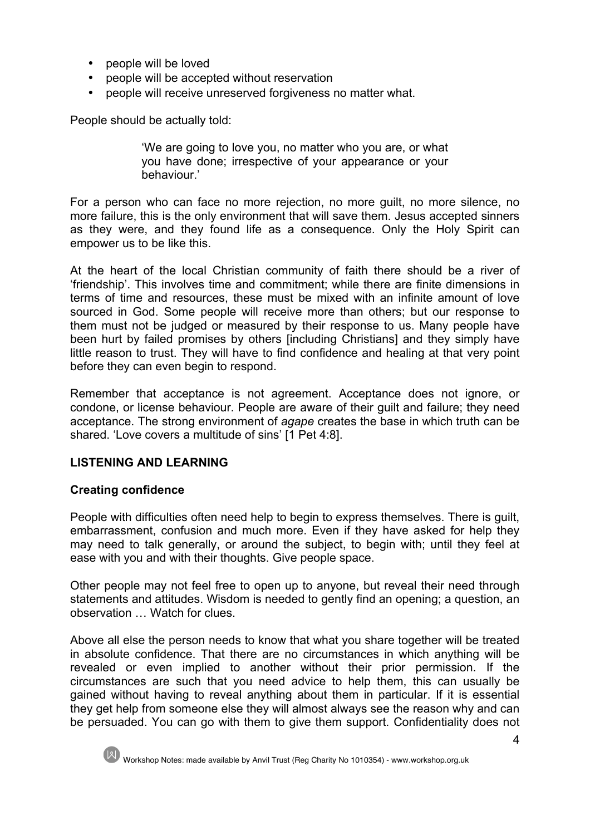- people will be loved
- people will be accepted without reservation
- people will receive unreserved forgiveness no matter what.

People should be actually told:

'We are going to love you, no matter who you are, or what you have done; irrespective of your appearance or your behaviour.'

For a person who can face no more rejection, no more guilt, no more silence, no more failure, this is the only environment that will save them. Jesus accepted sinners as they were, and they found life as a consequence. Only the Holy Spirit can empower us to be like this.

At the heart of the local Christian community of faith there should be a river of 'friendship'. This involves time and commitment; while there are finite dimensions in terms of time and resources, these must be mixed with an infinite amount of love sourced in God. Some people will receive more than others; but our response to them must not be judged or measured by their response to us. Many people have been hurt by failed promises by others [including Christians] and they simply have little reason to trust. They will have to find confidence and healing at that very point before they can even begin to respond.

Remember that acceptance is not agreement. Acceptance does not ignore, or condone, or license behaviour. People are aware of their guilt and failure; they need acceptance. The strong environment of *agape* creates the base in which truth can be shared. 'Love covers a multitude of sins' [1 Pet 4:8].

## **LISTENING AND LEARNING**

## **Creating confidence**

People with difficulties often need help to begin to express themselves. There is guilt, embarrassment, confusion and much more. Even if they have asked for help they may need to talk generally, or around the subject, to begin with; until they feel at ease with you and with their thoughts. Give people space.

Other people may not feel free to open up to anyone, but reveal their need through statements and attitudes. Wisdom is needed to gently find an opening; a question, an observation … Watch for clues.

Above all else the person needs to know that what you share together will be treated in absolute confidence. That there are no circumstances in which anything will be revealed or even implied to another without their prior permission. If the circumstances are such that you need advice to help them, this can usually be gained without having to reveal anything about them in particular. If it is essential they get help from someone else they will almost always see the reason why and can be persuaded. You can go with them to give them support. Confidentiality does not

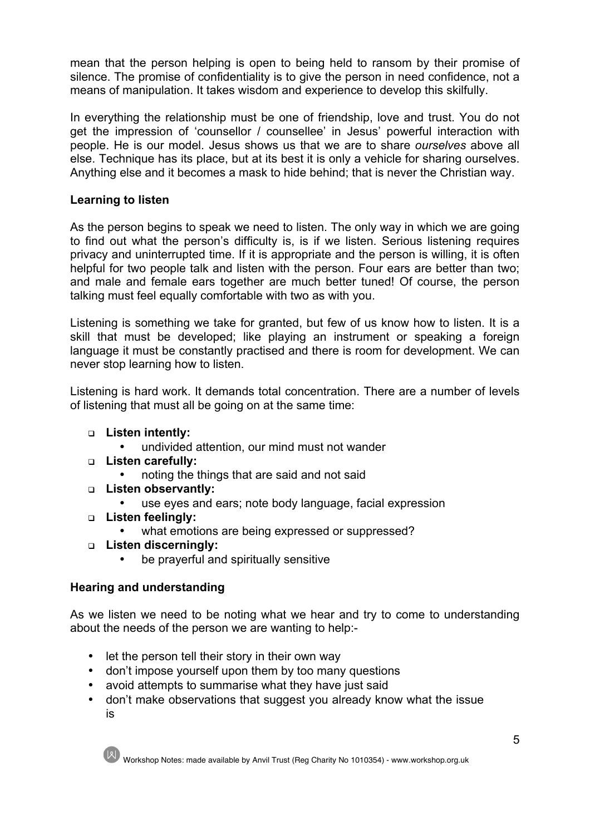mean that the person helping is open to being held to ransom by their promise of silence. The promise of confidentiality is to give the person in need confidence, not a means of manipulation. It takes wisdom and experience to develop this skilfully.

In everything the relationship must be one of friendship, love and trust. You do not get the impression of 'counsellor / counsellee' in Jesus' powerful interaction with people. He is our model. Jesus shows us that we are to share *ourselves* above all else. Technique has its place, but at its best it is only a vehicle for sharing ourselves. Anything else and it becomes a mask to hide behind; that is never the Christian way.

## **Learning to listen**

As the person begins to speak we need to listen. The only way in which we are going to find out what the person's difficulty is, is if we listen. Serious listening requires privacy and uninterrupted time. If it is appropriate and the person is willing, it is often helpful for two people talk and listen with the person. Four ears are better than two; and male and female ears together are much better tuned! Of course, the person talking must feel equally comfortable with two as with you.

Listening is something we take for granted, but few of us know how to listen. It is a skill that must be developed; like playing an instrument or speaking a foreign language it must be constantly practised and there is room for development. We can never stop learning how to listen.

Listening is hard work. It demands total concentration. There are a number of levels of listening that must all be going on at the same time:

- <sup>q</sup> **Listen intently:**
	- undivided attention, our mind must not wander
- <sup>q</sup> **Listen carefully:**
	- noting the things that are said and not said
- <sup>q</sup> **Listen observantly:**
	- use eyes and ears; note body language, facial expression
- <sup>q</sup> **Listen feelingly:**
	- what emotions are being expressed or suppressed?
- <sup>q</sup> **Listen discerningly:**
	- be prayerful and spiritually sensitive

# **Hearing and understanding**

As we listen we need to be noting what we hear and try to come to understanding about the needs of the person we are wanting to help:-

- let the person tell their story in their own way
- don't impose yourself upon them by too many questions
- avoid attempts to summarise what they have just said
- don't make observations that suggest you already know what the issue is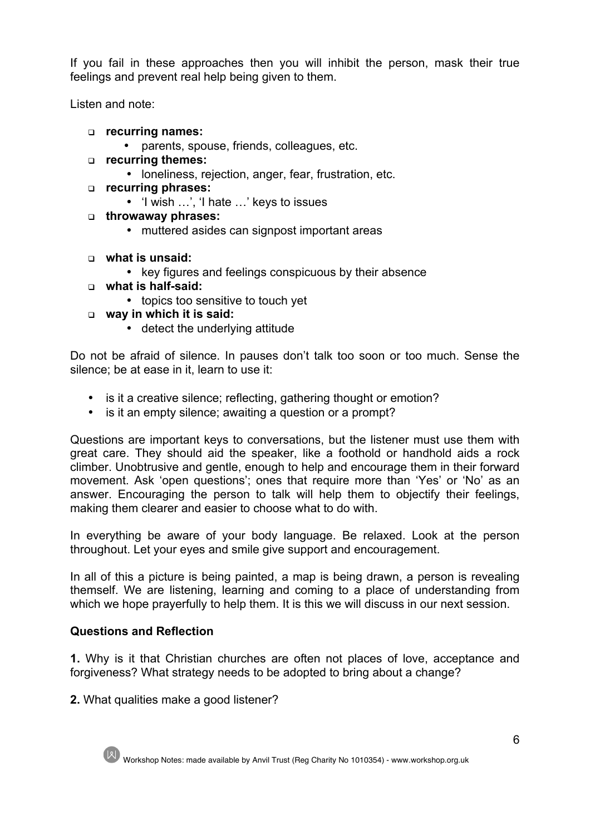If you fail in these approaches then you will inhibit the person, mask their true feelings and prevent real help being given to them.

Listen and note:

- <sup>q</sup> **recurring names:**
	- parents, spouse, friends, colleagues, etc.
- <sup>q</sup> **recurring themes:**
	- loneliness, rejection, anger, fear, frustration, etc.
- <sup>q</sup> **recurring phrases:**
	- 'I wish …', 'I hate …' keys to issues
- <sup>q</sup> **throwaway phrases:**
	- muttered asides can signpost important areas
- <sup>q</sup> **what is unsaid:**
	- key figures and feelings conspicuous by their absence
- <sup>q</sup> **what is half-said:**
	- topics too sensitive to touch yet
- <sup>q</sup> **way in which it is said:**
	- detect the underlying attitude

Do not be afraid of silence. In pauses don't talk too soon or too much. Sense the silence; be at ease in it, learn to use it:

- is it a creative silence; reflecting, gathering thought or emotion?
- is it an empty silence; awaiting a question or a prompt?

Questions are important keys to conversations, but the listener must use them with great care. They should aid the speaker, like a foothold or handhold aids a rock climber. Unobtrusive and gentle, enough to help and encourage them in their forward movement. Ask 'open questions'; ones that require more than 'Yes' or 'No' as an answer. Encouraging the person to talk will help them to objectify their feelings, making them clearer and easier to choose what to do with.

In everything be aware of your body language. Be relaxed. Look at the person throughout. Let your eyes and smile give support and encouragement.

In all of this a picture is being painted, a map is being drawn, a person is revealing themself. We are listening, learning and coming to a place of understanding from which we hope prayerfully to help them. It is this we will discuss in our next session.

## **Questions and Reflection**

**1.** Why is it that Christian churches are often not places of love, acceptance and forgiveness? What strategy needs to be adopted to bring about a change?

**2.** What qualities make a good listener?



Workshop Notes: made available by Anvil Trust (Reg Charity No 1010354) - www.workshop.org.uk